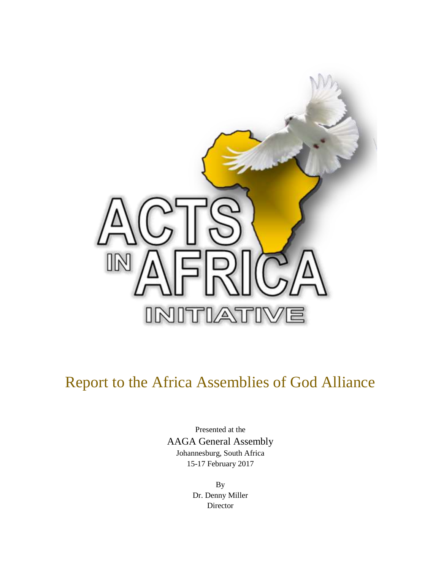

# Report to the Africa Assemblies of God Alliance

Presented at the AAGA General Assembly Johannesburg, South Africa 15-17 February 2017

> By Dr. Denny Miller Director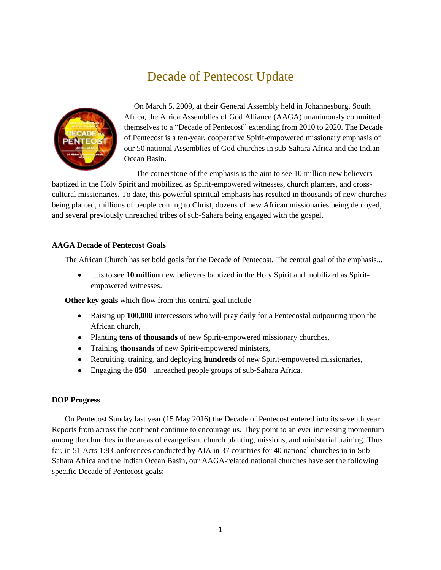# Decade of Pentecost Update



 On March 5, 2009, at their General Assembly held in Johannesburg, South Africa, the Africa Assemblies of God Alliance (AAGA) unanimously committed themselves to a "Decade of Pentecost" extending from 2010 to 2020. The Decade of Pentecost is a ten-year, cooperative Spirit-empowered missionary emphasis of our 50 national Assemblies of God churches in sub-Sahara Africa and the Indian Ocean Basin.

The cornerstone of the emphasis is the aim to see 10 million new believers

baptized in the Holy Spirit and mobilized as Spirit-empowered witnesses, church planters, and crosscultural missionaries. To date, this powerful spiritual emphasis has resulted in thousands of new churches being planted, millions of people coming to Christ, dozens of new African missionaries being deployed, and several previously unreached tribes of sub-Sahara being engaged with the gospel.

#### **AAGA Decade of Pentecost Goals**

The African Church has set bold goals for the Decade of Pentecost. The central goal of the emphasis...

 …is to see **10 million** new believers baptized in the Holy Spirit and mobilized as Spiritempowered witnesses.

**Other key goals** which flow from this central goal include

- Raising up **100,000** intercessors who will pray daily for a Pentecostal outpouring upon the African church,
- Planting **tens of thousands** of new Spirit-empowered missionary churches,
- Training **thousands** of new Spirit-empowered ministers,
- Recruiting, training, and deploying **hundreds** of new Spirit-empowered missionaries,
- Engaging the **850+** unreached people groups of sub-Sahara Africa.

#### **DOP Progress**

On Pentecost Sunday last year (15 May 2016) the Decade of Pentecost entered into its seventh year. Reports from across the continent continue to encourage us. They point to an ever increasing momentum among the churches in the areas of evangelism, church planting, missions, and ministerial training. Thus far, in 51 Acts 1:8 Conferences conducted by AIA in 37 countries for 40 national churches in in Sub-Sahara Africa and the Indian Ocean Basin, our AAGA-related national churches have set the following specific Decade of Pentecost goals: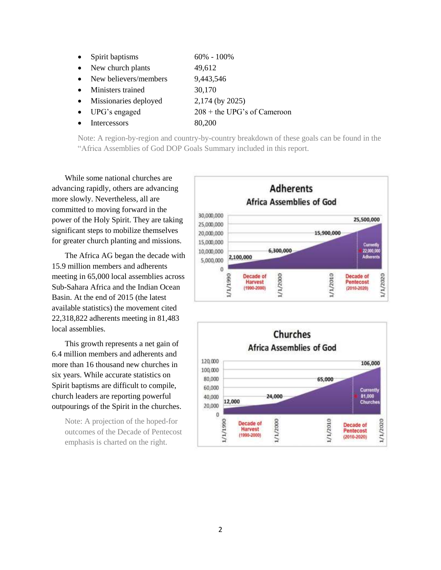- Spirit baptisms  $60\% 100\%$
- New church plants 49,612
- New believers/members 9,443,546
- Ministers trained 30,170
- Missionaries deployed 2,174 (by 2025)
- UPG's engaged  $208 +$  the UPG's of Cameroon
- Intercessors 80,200

Note: A region-by-region and country-by-country breakdown of these goals can be found in the "Africa Assemblies of God DOP Goals Summary included in this report.

While some national churches are advancing rapidly, others are advancing more slowly. Nevertheless, all are committed to moving forward in the power of the Holy Spirit. They are taking significant steps to mobilize themselves for greater church planting and missions.

The Africa AG began the decade with 15.9 million members and adherents meeting in 65,000 local assemblies across Sub-Sahara Africa and the Indian Ocean Basin. At the end of 2015 (the latest available statistics) the movement cited 22,318,822 adherents meeting in 81,483 local assemblies.

This growth represents a net gain of 6.4 million members and adherents and more than 16 thousand new churches in six years. While accurate statistics on Spirit baptisms are difficult to compile, church leaders are reporting powerful outpourings of the Spirit in the churches.

Note: A projection of the hoped-for outcomes of the Decade of Pentecost emphasis is charted on the right.



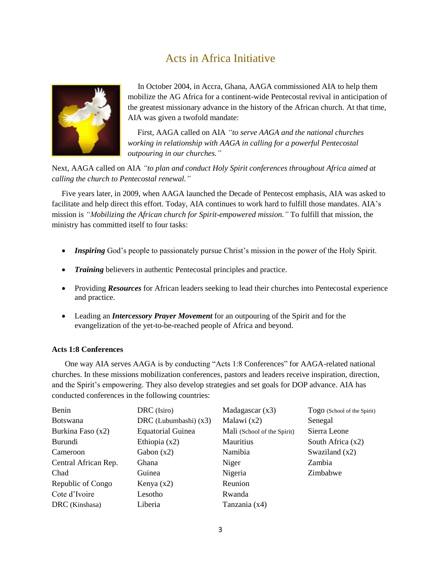## Acts in Africa Initiative



 In October 2004, in Accra, Ghana, AAGA commissioned AIA to help them mobilize the AG Africa for a continent-wide Pentecostal revival in anticipation of the greatest missionary advance in the history of the African church. At that time, AIA was given a twofold mandate:

First, AAGA called on AIA *"to serve AAGA and the national churches working in relationship with AAGA in calling for a powerful Pentecostal outpouring in our churches."*

Next, AAGA called on AIA *"to plan and conduct Holy Spirit conferences throughout Africa aimed at calling the church to Pentecostal renewal."*

Five years later, in 2009, when AAGA launched the Decade of Pentecost emphasis, AIA was asked to facilitate and help direct this effort. Today, AIA continues to work hard to fulfill those mandates. AIA's mission is *"Mobilizing the African church for Spirit-empowered mission."* To fulfill that mission, the ministry has committed itself to four tasks:

- *Inspiring* God's people to passionately pursue Christ's mission in the power of the Holy Spirit.
- *Training* believers in authentic Pentecostal principles and practice.
- Providing *Resources* for African leaders seeking to lead their churches into Pentecostal experience and practice.
- Leading an *Intercessory Prayer Movement* for an outpouring of the Spirit and for the evangelization of the yet-to-be-reached people of Africa and beyond.

#### **Acts 1:8 Conferences**

One way AIA serves AAGA is by conducting "Acts 1:8 Conferences" for AAGA-related national churches. In these missions mobilization conferences, pastors and leaders receive inspiration, direction, and the Spirit's empowering. They also develop strategies and set goals for DOP advance. AIA has conducted conferences in the following countries:

| Benin                | DRC (Isiro)              | Madagascar(x3)              | Togo (School of the Spirit) |
|----------------------|--------------------------|-----------------------------|-----------------------------|
| <b>Botswana</b>      | DRC (Lubumbashi) $(x3)$  | Malawi $(x2)$               | Senegal                     |
| Burkina Faso (x2)    | <b>Equatorial Guinea</b> | Mali (School of the Spirit) | Sierra Leone                |
| Burundi              | Ethiopia $(x2)$          | <b>Mauritius</b>            | South Africa $(x2)$         |
| Cameroon             | Gabon $(x2)$             | Namibia                     | Swaziland $(x2)$            |
| Central African Rep. | Ghana                    | Niger                       | Zambia                      |
| Chad                 | Guinea                   | Nigeria                     | Zimbabwe                    |
| Republic of Congo    | Kenya $(x2)$             | Reunion                     |                             |
| Cote d'Ivoire        | Lesotho                  | Rwanda                      |                             |
| DRC (Kinshasa)       | Liberia                  | Tanzania (x4)               |                             |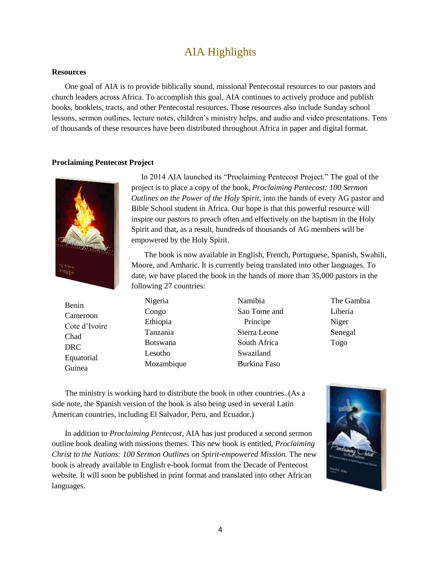### AIA Highlights

#### **Resources**

One goal of AIA is to provide biblically sound, missional Pentecostal resources to our pastors and church leaders across Africa. To accomplish this goal, AIA continues to actively produce and publish books, booklets, tracts, and other Pentecostal resources. Those resources also include Sunday school lessons, sermon outlines, lecture notes, children's ministry helps, and audio and video presentations. Tens of thousands of these resources have been distributed throughout Africa in paper and digital format.

#### **Proclaiming Pentecost Project**



 In 2014 AIA launched its "Proclaiming Pentecost Project." The goal of the project is to place a copy of the book, *Proclaiming Pentecost: 100 Sermon Outlines on the Power of the Holy Spirit,* into the hands of every AG pastor and Bible School student in Africa. Our hope is that this powerful resource will inspire our pastors to preach often and effectively on the baptism in the Holy Spirit and that, as a result, hundreds of thousands of AG members will be empowered by the Holy Spirit.

The book is now available in English, French, Portuguese, Spanish, Swahili, Moore, and Amharic. It is currently being translated into other languages. To date, we have placed the book in the hands of more than 35,000 pastors in the following 27 countries:

| Benin                | Nigeria         | Namibia      | The G  |
|----------------------|-----------------|--------------|--------|
| Cameroon             | Congo           | Sao Tome and | Liberi |
| Cote d'Ivoire        | Ethiopia        | Principe     | Niger  |
| Chad                 | Tanzania        | Sierra Leone | Senega |
| <b>DRC</b>           | <b>Botswana</b> | South Africa | Togo   |
| Equatorial<br>Guinea | Lesotho         | Swaziland    |        |
|                      | Mozambique      | Burkina Faso |        |

ambia Liberia al

The ministry is working hard to distribute the book in other countries. (As a side note, the Spanish version of the book is also being used in several Latin American countries, including El Salvador, Peru, and Ecuador.)

In addition to *Proclaiming Pentecost*, AIA has just produced a second sermon outline book dealing with missions themes. This new book is entitled, *Proclaiming Christ to the Nations: 100 Sermon Outlines on Spirit-empowered Mission.* The new book is already available in English e-book format from the Decade of Pentecost website. It will soon be published in print format and translated into other African languages.

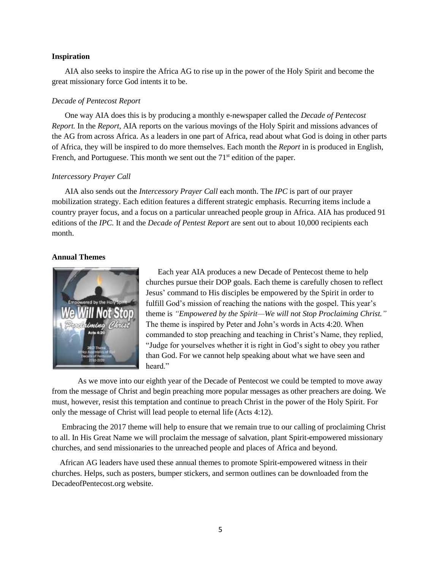#### **Inspiration**

AIA also seeks to inspire the Africa AG to rise up in the power of the Holy Spirit and become the great missionary force God intents it to be.

#### *Decade of Pentecost Report*

One way AIA does this is by producing a monthly e-newspaper called the *Decade of Pentecost Report.* In the *Report*, AIA reports on the various movings of the Holy Spirit and missions advances of the AG from across Africa. As a leaders in one part of Africa, read about what God is doing in other parts of Africa, they will be inspired to do more themselves. Each month the *Report* in is produced in English, French, and Portuguese. This month we sent out the  $71<sup>st</sup>$  edition of the paper.

#### *Intercessory Prayer Call*

AIA also sends out the *Intercessory Prayer Call* each month. The *IPC* is part of our prayer mobilization strategy. Each edition features a different strategic emphasis. Recurring items include a country prayer focus, and a focus on a particular unreached people group in Africa. AIA has produced 91 editions of the *IPC.* It and the *Decade of Pentest Report* are sent out to about 10,000 recipients each month.

#### **Annual Themes**



 Each year AIA produces a new Decade of Pentecost theme to help churches pursue their DOP goals. Each theme is carefully chosen to reflect Jesus' command to His disciples be empowered by the Spirit in order to fulfill God's mission of reaching the nations with the gospel. This year's theme is *"Empowered by the Spirit—We will not Stop Proclaiming Christ."* The theme is inspired by Peter and John's words in Acts 4:20. When commanded to stop preaching and teaching in Christ's Name, they replied, "Judge for yourselves whether it is right in God's sight to obey you rather than God. For we cannot help speaking about what we have seen and heard."

As we move into our eighth year of the Decade of Pentecost we could be tempted to move away from the message of Christ and begin preaching more popular messages as other preachers are doing. We must, however, resist this temptation and continue to preach Christ in the power of the Holy Spirit. For only the message of Christ will lead people to eternal life (Acts 4:12).

 Embracing the 2017 theme will help to ensure that we remain true to our calling of proclaiming Christ to all. In His Great Name we will proclaim the message of salvation, plant Spirit-empowered missionary churches, and send missionaries to the unreached people and places of Africa and beyond.

 African AG leaders have used these annual themes to promote Spirit-empowered witness in their churches. Helps, such as posters, bumper stickers, and sermon outlines can be downloaded from the DecadeofPentecost.org website.